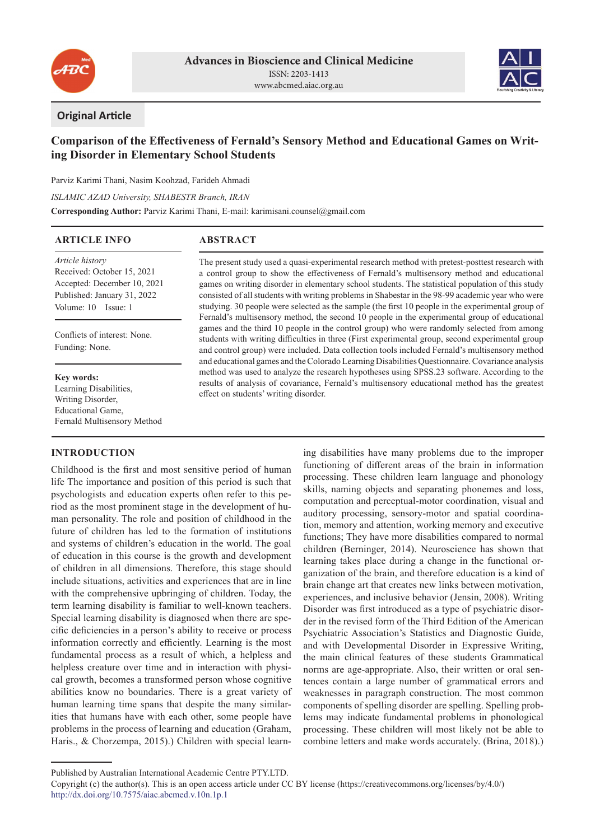



### **Original Article**

# **Comparison of the Effectiveness of Fernald's Sensory Method and Educational Games on Writing Disorder in Elementary School Students**

Parviz Karimi Thani, Nasim Koohzad, Farideh Ahmadi

*ISLAMIC AZAD University, SHABESTR Branch, IRAN*

**Corresponding Author:** Parviz Karimi Thani, E-mail: karimisani.counsel@gmail.com

#### **ARTICLE INFO**

## **ABSTRACT**

*Article history* Received: October 15, 2021 Accepted: December 10, 2021 Published: January 31, 2022 Volume: 10 Issue: 1

Conflicts of interest: None. Funding: None.

## **Key words:**

Learning Disabilities, Writing Disorder, Educational Game, Fernald Multisensory Method

### **INTRODUCTION**

Childhood is the first and most sensitive period of human life The importance and position of this period is such that psychologists and education experts often refer to this period as the most prominent stage in the development of human personality. The role and position of childhood in the future of children has led to the formation of institutions and systems of children's education in the world. The goal of education in this course is the growth and development of children in all dimensions. Therefore, this stage should include situations, activities and experiences that are in line with the comprehensive upbringing of children. Today, the term learning disability is familiar to well-known teachers. Special learning disability is diagnosed when there are specific deficiencies in a person's ability to receive or process information correctly and efficiently. Learning is the most fundamental process as a result of which, a helpless and helpless creature over time and in interaction with physical growth, becomes a transformed person whose cognitive abilities know no boundaries. There is a great variety of human learning time spans that despite the many similarities that humans have with each other, some people have problems in the process of learning and education (Graham, Haris., & Chorzempa, 2015).) Children with special learn-

The present study used a quasi-experimental research method with pretest-posttest research with a control group to show the effectiveness of Fernald's multisensory method and educational games on writing disorder in elementary school students. The statistical population of this study consisted of all students with writing problems in Shabestar in the 98-99 academic year who were studying. 30 people were selected as the sample (the first 10 people in the experimental group of Fernald's multisensory method, the second 10 people in the experimental group of educational games and the third 10 people in the control group) who were randomly selected from among students with writing difficulties in three (First experimental group, second experimental group and control group) were included. Data collection tools included Fernald's multisensory method and educational games and the Colorado Learning Disabilities Questionnaire. Covariance analysis method was used to analyze the research hypotheses using SPSS.23 software. According to the results of analysis of covariance, Fernald's multisensory educational method has the greatest effect on students' writing disorder.

> ing disabilities have many problems due to the improper functioning of different areas of the brain in information processing. These children learn language and phonology skills, naming objects and separating phonemes and loss, computation and perceptual-motor coordination, visual and auditory processing, sensory-motor and spatial coordination, memory and attention, working memory and executive functions; They have more disabilities compared to normal children (Berninger, 2014). Neuroscience has shown that learning takes place during a change in the functional organization of the brain, and therefore education is a kind of brain change art that creates new links between motivation, experiences, and inclusive behavior (Jensin, 2008). Writing Disorder was first introduced as a type of psychiatric disorder in the revised form of the Third Edition of the American Psychiatric Association's Statistics and Diagnostic Guide, and with Developmental Disorder in Expressive Writing, the main clinical features of these students Grammatical norms are age-appropriate. Also, their written or oral sentences contain a large number of grammatical errors and weaknesses in paragraph construction. The most common components of spelling disorder are spelling. Spelling problems may indicate fundamental problems in phonological processing. These children will most likely not be able to combine letters and make words accurately. (Brina, 2018).)

Published by Australian International Academic Centre PTY.LTD.

Copyright (c) the author(s). This is an open access article under CC BY license (https://creativecommons.org/licenses/by/4.0/) http://dx.doi.org/10.7575/aiac.abcmed.v.10n.1p.1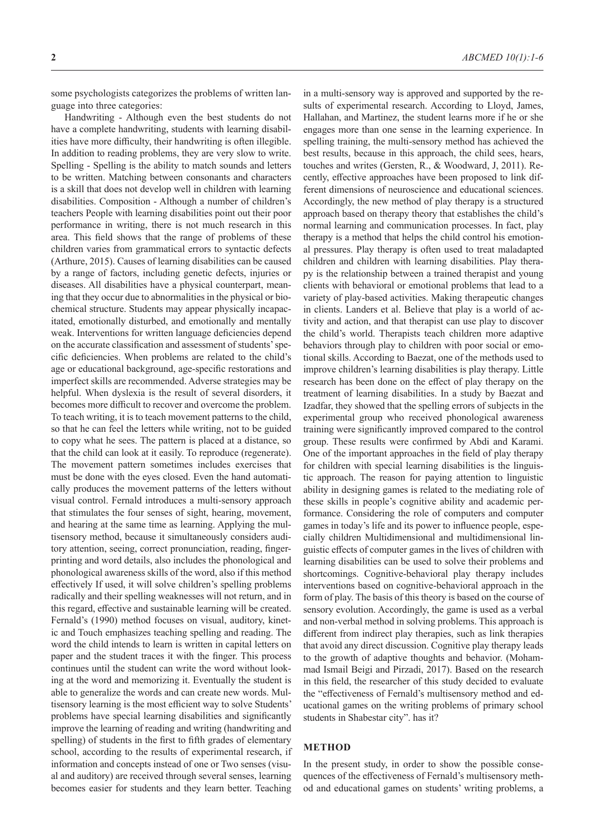some psychologists categorizes the problems of written language into three categories:

Handwriting - Although even the best students do not have a complete handwriting, students with learning disabilities have more difficulty, their handwriting is often illegible. In addition to reading problems, they are very slow to write. Spelling - Spelling is the ability to match sounds and letters to be written. Matching between consonants and characters is a skill that does not develop well in children with learning disabilities. Composition - Although a number of children's teachers People with learning disabilities point out their poor performance in writing, there is not much research in this area. This field shows that the range of problems of these children varies from grammatical errors to syntactic defects (Arthure, 2015). Causes of learning disabilities can be caused by a range of factors, including genetic defects, injuries or diseases. All disabilities have a physical counterpart, meaning that they occur due to abnormalities in the physical or biochemical structure. Students may appear physically incapacitated, emotionally disturbed, and emotionally and mentally weak. Interventions for written language deficiencies depend on the accurate classification and assessment of students' specific deficiencies. When problems are related to the child's age or educational background, age-specific restorations and imperfect skills are recommended. Adverse strategies may be helpful. When dyslexia is the result of several disorders, it becomes more difficult to recover and overcome the problem. To teach writing, it is to teach movement patterns to the child, so that he can feel the letters while writing, not to be guided to copy what he sees. The pattern is placed at a distance, so that the child can look at it easily. To reproduce (regenerate). The movement pattern sometimes includes exercises that must be done with the eyes closed. Even the hand automatically produces the movement patterns of the letters without visual control. Fernald introduces a multi-sensory approach that stimulates the four senses of sight, hearing, movement, and hearing at the same time as learning. Applying the multisensory method, because it simultaneously considers auditory attention, seeing, correct pronunciation, reading, fingerprinting and word details, also includes the phonological and phonological awareness skills of the word, also if this method effectively If used, it will solve children's spelling problems radically and their spelling weaknesses will not return, and in this regard, effective and sustainable learning will be created. Fernald's (1990) method focuses on visual, auditory, kinetic and Touch emphasizes teaching spelling and reading. The word the child intends to learn is written in capital letters on paper and the student traces it with the finger. This process continues until the student can write the word without looking at the word and memorizing it. Eventually the student is able to generalize the words and can create new words. Multisensory learning is the most efficient way to solve Students' problems have special learning disabilities and significantly improve the learning of reading and writing (handwriting and spelling) of students in the first to fifth grades of elementary school, according to the results of experimental research, if information and concepts instead of one or Two senses (visual and auditory) are received through several senses, learning becomes easier for students and they learn better. Teaching in a multi-sensory way is approved and supported by the results of experimental research. According to Lloyd, James, Hallahan, and Martinez, the student learns more if he or she engages more than one sense in the learning experience. In spelling training, the multi-sensory method has achieved the best results, because in this approach, the child sees, hears, touches and writes (Gersten, R., & Woodward, J, 2011). Recently, effective approaches have been proposed to link different dimensions of neuroscience and educational sciences. Accordingly, the new method of play therapy is a structured approach based on therapy theory that establishes the child's normal learning and communication processes. In fact, play therapy is a method that helps the child control his emotional pressures. Play therapy is often used to treat maladapted children and children with learning disabilities. Play therapy is the relationship between a trained therapist and young clients with behavioral or emotional problems that lead to a variety of play-based activities. Making therapeutic changes in clients. Landers et al. Believe that play is a world of activity and action, and that therapist can use play to discover the child's world. Therapists teach children more adaptive behaviors through play to children with poor social or emotional skills. According to Baezat, one of the methods used to improve children's learning disabilities is play therapy. Little research has been done on the effect of play therapy on the treatment of learning disabilities. In a study by Baezat and Izadfar, they showed that the spelling errors of subjects in the experimental group who received phonological awareness training were significantly improved compared to the control group. These results were confirmed by Abdi and Karami. One of the important approaches in the field of play therapy for children with special learning disabilities is the linguistic approach. The reason for paying attention to linguistic ability in designing games is related to the mediating role of these skills in people's cognitive ability and academic performance. Considering the role of computers and computer games in today's life and its power to influence people, especially children Multidimensional and multidimensional linguistic effects of computer games in the lives of children with learning disabilities can be used to solve their problems and shortcomings. Cognitive-behavioral play therapy includes interventions based on cognitive-behavioral approach in the form of play. The basis of this theory is based on the course of sensory evolution. Accordingly, the game is used as a verbal and non-verbal method in solving problems. This approach is different from indirect play therapies, such as link therapies that avoid any direct discussion. Cognitive play therapy leads to the growth of adaptive thoughts and behavior. (Mohammad Ismail Beigi and Pirzadi, 2017). Based on the research in this field, the researcher of this study decided to evaluate the "effectiveness of Fernald's multisensory method and educational games on the writing problems of primary school students in Shabestar city". has it?

#### **METHOD**

In the present study, in order to show the possible consequences of the effectiveness of Fernald's multisensory method and educational games on students' writing problems, a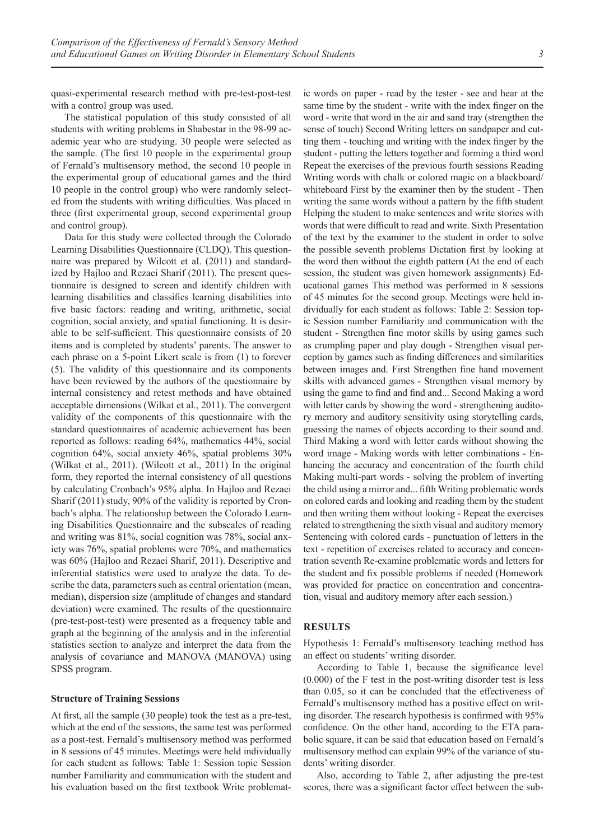quasi-experimental research method with pre-test-post-test with a control group was used.

The statistical population of this study consisted of all students with writing problems in Shabestar in the 98-99 academic year who are studying. 30 people were selected as the sample. (The first 10 people in the experimental group of Fernald's multisensory method, the second 10 people in the experimental group of educational games and the third 10 people in the control group) who were randomly selected from the students with writing difficulties. Was placed in three (first experimental group, second experimental group and control group).

Data for this study were collected through the Colorado Learning Disabilities Questionnaire (CLDQ). This questionnaire was prepared by Wilcott et al. (2011) and standardized by Hajloo and Rezaei Sharif (2011). The present questionnaire is designed to screen and identify children with learning disabilities and classifies learning disabilities into five basic factors: reading and writing, arithmetic, social cognition, social anxiety, and spatial functioning. It is desirable to be self-sufficient. This questionnaire consists of 20 items and is completed by students' parents. The answer to each phrase on a 5-point Likert scale is from (1) to forever (5). The validity of this questionnaire and its components have been reviewed by the authors of the questionnaire by internal consistency and retest methods and have obtained acceptable dimensions (Wilkat et al., 2011). The convergent validity of the components of this questionnaire with the standard questionnaires of academic achievement has been reported as follows: reading 64%, mathematics 44%, social cognition 64%, social anxiety 46%, spatial problems 30% (Wilkat et al., 2011). (Wilcott et al., 2011) In the original form, they reported the internal consistency of all questions by calculating Cronbach's 95% alpha. In Hajloo and Rezaei Sharif (2011) study, 90% of the validity is reported by Cronbach's alpha. The relationship between the Colorado Learning Disabilities Questionnaire and the subscales of reading and writing was 81%, social cognition was 78%, social anxiety was 76%, spatial problems were 70%, and mathematics was 60% (Hajloo and Rezaei Sharif, 2011). Descriptive and inferential statistics were used to analyze the data. To describe the data, parameters such as central orientation (mean, median), dispersion size (amplitude of changes and standard deviation) were examined. The results of the questionnaire (pre-test-post-test) were presented as a frequency table and graph at the beginning of the analysis and in the inferential statistics section to analyze and interpret the data from the analysis of covariance and MANOVA (MANOVA) using SPSS program.

#### **Structure of Training Sessions**

At first, all the sample (30 people) took the test as a pre-test, which at the end of the sessions, the same test was performed as a post-test. Fernald's multisensory method was performed in 8 sessions of 45 minutes. Meetings were held individually for each student as follows: Table 1: Session topic Session number Familiarity and communication with the student and his evaluation based on the first textbook Write problematic words on paper - read by the tester - see and hear at the same time by the student - write with the index finger on the word - write that word in the air and sand tray (strengthen the sense of touch) Second Writing letters on sandpaper and cutting them - touching and writing with the index finger by the student - putting the letters together and forming a third word Repeat the exercises of the previous fourth sessions Reading Writing words with chalk or colored magic on a blackboard/ whiteboard First by the examiner then by the student - Then writing the same words without a pattern by the fifth student Helping the student to make sentences and write stories with words that were difficult to read and write. Sixth Presentation of the text by the examiner to the student in order to solve the possible seventh problems Dictation first by looking at the word then without the eighth pattern (At the end of each session, the student was given homework assignments) Educational games This method was performed in 8 sessions of 45 minutes for the second group. Meetings were held individually for each student as follows: Table 2: Session topic Session number Familiarity and communication with the student - Strengthen fine motor skills by using games such as crumpling paper and play dough - Strengthen visual perception by games such as finding differences and similarities between images and. First Strengthen fine hand movement skills with advanced games - Strengthen visual memory by using the game to find and find and... Second Making a word with letter cards by showing the word - strengthening auditory memory and auditory sensitivity using storytelling cards, guessing the names of objects according to their sound and. Third Making a word with letter cards without showing the word image - Making words with letter combinations - Enhancing the accuracy and concentration of the fourth child Making multi-part words - solving the problem of inverting the child using a mirror and... fifth Writing problematic words on colored cards and looking and reading them by the student and then writing them without looking - Repeat the exercises related to strengthening the sixth visual and auditory memory Sentencing with colored cards - punctuation of letters in the text - repetition of exercises related to accuracy and concentration seventh Re-examine problematic words and letters for the student and fix possible problems if needed (Homework was provided for practice on concentration and concentration, visual and auditory memory after each session.)

#### **RESULTS**

Hypothesis 1: Fernald's multisensory teaching method has an effect on students' writing disorder.

According to Table 1, because the significance level (0.000) of the F test in the post-writing disorder test is less than 0.05, so it can be concluded that the effectiveness of Fernald's multisensory method has a positive effect on writing disorder. The research hypothesis is confirmed with 95% confidence. On the other hand, according to the ETA parabolic square, it can be said that education based on Fernald's multisensory method can explain 99% of the variance of students' writing disorder.

Also, according to Table 2, after adjusting the pre-test scores, there was a significant factor effect between the sub-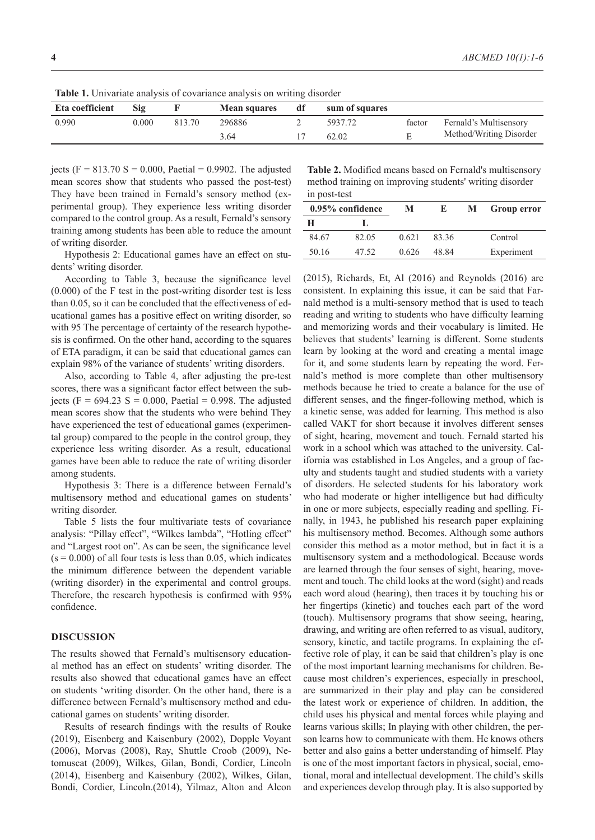| <b>ROIL 1.</b> Officially analysis of covariance analysis on writing disorder |       |        |                     |    |                |        |                         |
|-------------------------------------------------------------------------------|-------|--------|---------------------|----|----------------|--------|-------------------------|
| Eta coefficient                                                               | Sig   |        | <b>Mean squares</b> | df | sum of squares |        |                         |
| 0.990                                                                         | 0.000 | 813.70 | 296886              |    | 5937.72        | factor | Fernald's Multisensory  |
|                                                                               |       |        | 3.64                |    | 62.02          |        | Method/Writing Disorder |

**Table 1.** Univariate analysis of covariance analysis on writing disorder

jects (F = 813.70 S = 0.000, Paetial = 0.9902. The adjusted mean scores show that students who passed the post-test) They have been trained in Fernald's sensory method (experimental group). They experience less writing disorder compared to the control group. As a result, Fernald's sensory training among students has been able to reduce the amount of writing disorder.

Hypothesis 2: Educational games have an effect on students' writing disorder.

According to Table 3, because the significance level (0.000) of the F test in the post-writing disorder test is less than 0.05, so it can be concluded that the effectiveness of educational games has a positive effect on writing disorder, so with 95 The percentage of certainty of the research hypothesis is confirmed. On the other hand, according to the squares of ETA paradigm, it can be said that educational games can explain 98% of the variance of students' writing disorders.

Also, according to Table 4, after adjusting the pre-test scores, there was a significant factor effect between the subjects (F =  $694.23$  S = 0.000, Paetial = 0.998. The adjusted mean scores show that the students who were behind They have experienced the test of educational games (experimental group) compared to the people in the control group, they experience less writing disorder. As a result, educational games have been able to reduce the rate of writing disorder among students.

Hypothesis 3: There is a difference between Fernald's multisensory method and educational games on students' writing disorder.

Table 5 lists the four multivariate tests of covariance analysis: "Pillay effect", "Wilkes lambda", "Hotling effect" and "Largest root on". As can be seen, the significance level  $(s = 0.000)$  of all four tests is less than 0.05, which indicates the minimum difference between the dependent variable (writing disorder) in the experimental and control groups. Therefore, the research hypothesis is confirmed with 95% confidence.

#### **DISCUSSION**

The results showed that Fernald's multisensory educational method has an effect on students' writing disorder. The results also showed that educational games have an effect on students 'writing disorder. On the other hand, there is a difference between Fernald's multisensory method and educational games on students' writing disorder.

Results of research findings with the results of Rouke (2019), Eisenberg and Kaisenbury (2002), Dopple Voyant (2006), Morvas (2008), Ray, Shuttle Croob (2009), Netomuscat (2009), Wilkes, Gilan, Bondi, Cordier, Lincoln (2014), Eisenberg and Kaisenbury (2002), Wilkes, Gilan, Bondi, Cordier, Lincoln.(2014), Yilmaz, Alton and Alcon

**Table 2.** Modified means based on Fernald's multisensory method training on improving students' writing disorder in post-test

|       | M                | Ю     | M | <b>Group error</b> |
|-------|------------------|-------|---|--------------------|
|       |                  |       |   |                    |
| 82.05 | 0.621            | 83.36 |   | Control            |
| 47.52 | 0.626            | 48.84 |   | Experiment         |
|       | 0.95% confidence |       |   |                    |

(2015), Richards, Et, Al (2016) and Reynolds (2016) are consistent. In explaining this issue, it can be said that Farnald method is a multi-sensory method that is used to teach reading and writing to students who have difficulty learning and memorizing words and their vocabulary is limited. He believes that students' learning is different. Some students learn by looking at the word and creating a mental image for it, and some students learn by repeating the word. Fernald's method is more complete than other multisensory methods because he tried to create a balance for the use of different senses, and the finger-following method, which is a kinetic sense, was added for learning. This method is also called VAKT for short because it involves different senses of sight, hearing, movement and touch. Fernald started his work in a school which was attached to the university. California was established in Los Angeles, and a group of faculty and students taught and studied students with a variety of disorders. He selected students for his laboratory work who had moderate or higher intelligence but had difficulty in one or more subjects, especially reading and spelling. Finally, in 1943, he published his research paper explaining his multisensory method. Becomes. Although some authors consider this method as a motor method, but in fact it is a multisensory system and a methodological. Because words are learned through the four senses of sight, hearing, movement and touch. The child looks at the word (sight) and reads each word aloud (hearing), then traces it by touching his or her fingertips (kinetic) and touches each part of the word (touch). Multisensory programs that show seeing, hearing, drawing, and writing are often referred to as visual, auditory, sensory, kinetic, and tactile programs. In explaining the effective role of play, it can be said that children's play is one of the most important learning mechanisms for children. Because most children's experiences, especially in preschool, are summarized in their play and play can be considered the latest work or experience of children. In addition, the child uses his physical and mental forces while playing and learns various skills; In playing with other children, the person learns how to communicate with them. He knows others better and also gains a better understanding of himself. Play is one of the most important factors in physical, social, emotional, moral and intellectual development. The child's skills and experiences develop through play. It is also supported by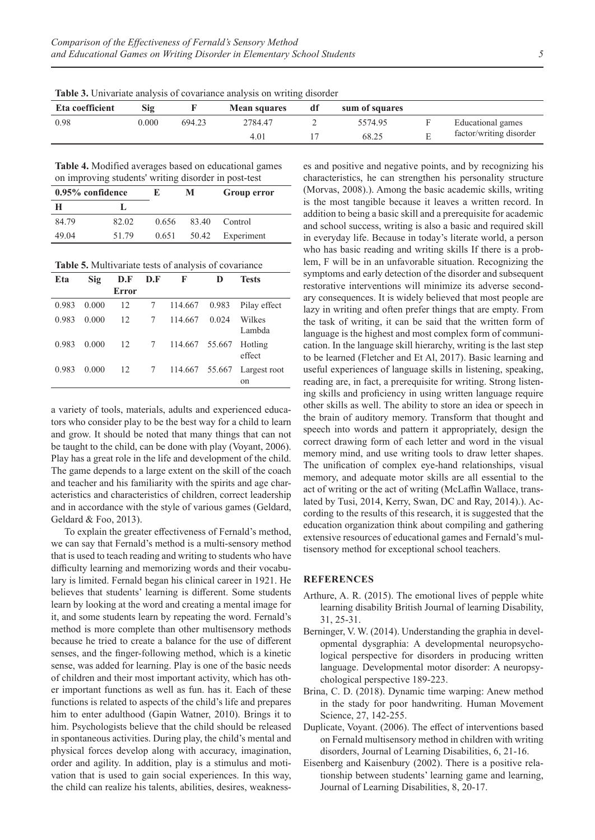| Eta coefficient | Sig   |        | <b>Mean squares</b> | df | sum of squares |                         |
|-----------------|-------|--------|---------------------|----|----------------|-------------------------|
| 0.98            | 0.000 | 694.23 | 2784.47             |    | 5574.95        | Educational games       |
|                 |       |        | 4.01                |    | 68.25          | factor/writing disorder |
|                 |       |        |                     |    |                |                         |

**Table 3.** Univariate analysis of covariance analysis on writing disorder

**Table 4.** Modified averages based on educational games on improving students' writing disorder in post-test

| 0.95% confidence |       | М<br>F. |       | Group error      |  |
|------------------|-------|---------|-------|------------------|--|
| н                |       |         |       |                  |  |
| 84.79            | 82.02 | 0.656   | 83.40 | Control          |  |
| 49.04            | 51.79 | 0.651   |       | 50.42 Experiment |  |

**Table 5.** Multivariate tests of analysis of covariance

| Eta   | Sig   | D.F   | F<br>D.F        |                | D     | Tests                         |
|-------|-------|-------|-----------------|----------------|-------|-------------------------------|
|       |       | Error |                 |                |       |                               |
| 0.983 | 0.000 | 12    | $7^{\circ}$     | 114.667        | 0.983 | Pilay effect                  |
| 0.983 | 0.000 | 12    | $7\overline{ }$ | 114.667        | 0.024 | Wilkes<br>Lambda              |
| 0.983 | 0.000 | 12    | $7\overline{ }$ | 114.667 55.667 |       | Hotling<br>effect             |
| 0.983 | 0.000 | 12    | $7\overline{ }$ | 114.667 55.667 |       | Largest root<br><sub>on</sub> |

a variety of tools, materials, adults and experienced educators who consider play to be the best way for a child to learn and grow. It should be noted that many things that can not be taught to the child, can be done with play (Voyant, 2006). Play has a great role in the life and development of the child. The game depends to a large extent on the skill of the coach and teacher and his familiarity with the spirits and age characteristics and characteristics of children, correct leadership and in accordance with the style of various games (Geldard, Geldard & Foo, 2013).

To explain the greater effectiveness of Fernald's method, we can say that Fernald's method is a multi-sensory method that is used to teach reading and writing to students who have difficulty learning and memorizing words and their vocabulary is limited. Fernald began his clinical career in 1921. He believes that students' learning is different. Some students learn by looking at the word and creating a mental image for it, and some students learn by repeating the word. Fernald's method is more complete than other multisensory methods because he tried to create a balance for the use of different senses, and the finger-following method, which is a kinetic sense, was added for learning. Play is one of the basic needs of children and their most important activity, which has other important functions as well as fun. has it. Each of these functions is related to aspects of the child's life and prepares him to enter adulthood (Gapin Watner, 2010). Brings it to him. Psychologists believe that the child should be released in spontaneous activities. During play, the child's mental and physical forces develop along with accuracy, imagination, order and agility. In addition, play is a stimulus and motivation that is used to gain social experiences. In this way, the child can realize his talents, abilities, desires, weaknesses and positive and negative points, and by recognizing his characteristics, he can strengthen his personality structure (Morvas, 2008).). Among the basic academic skills, writing is the most tangible because it leaves a written record. In addition to being a basic skill and a prerequisite for academic and school success, writing is also a basic and required skill in everyday life. Because in today's literate world, a person who has basic reading and writing skills If there is a problem, F will be in an unfavorable situation. Recognizing the symptoms and early detection of the disorder and subsequent restorative interventions will minimize its adverse secondary consequences. It is widely believed that most people are lazy in writing and often prefer things that are empty. From the task of writing, it can be said that the written form of language is the highest and most complex form of communication. In the language skill hierarchy, writing is the last step to be learned (Fletcher and Et Al, 2017). Basic learning and useful experiences of language skills in listening, speaking, reading are, in fact, a prerequisite for writing. Strong listening skills and proficiency in using written language require other skills as well. The ability to store an idea or speech in the brain of auditory memory. Transform that thought and speech into words and pattern it appropriately, design the correct drawing form of each letter and word in the visual memory mind, and use writing tools to draw letter shapes. The unification of complex eye-hand relationships, visual memory, and adequate motor skills are all essential to the act of writing or the act of writing (McLaffin Wallace, translated by Tusi, 2014, Kerry, Swan, DC and Ray, 2014).). According to the results of this research, it is suggested that the education organization think about compiling and gathering extensive resources of educational games and Fernald's multisensory method for exceptional school teachers.

#### **REFERENCES**

- Arthure, A. R. (2015). The emotional lives of pepple white learning disability British Journal of learning Disability, 31, 25-31.
- Berninger, V. W. (2014). Understanding the graphia in developmental dysgraphia: A developmental neuropsychological perspective for disorders in producing written language. Developmental motor disorder: A neuropsychological perspective 189-223.
- Brina, C. D. (2018). Dynamic time warping: Anew method in the stady for poor handwriting. Human Movement Science, 27, 142-255.
- Duplicate, Voyant. (2006). The effect of interventions based on Fernald multisensory method in children with writing disorders, Journal of Learning Disabilities, 6, 21-16.
- Eisenberg and Kaisenbury (2002). There is a positive relationship between students' learning game and learning, Journal of Learning Disabilities, 8, 20-17.